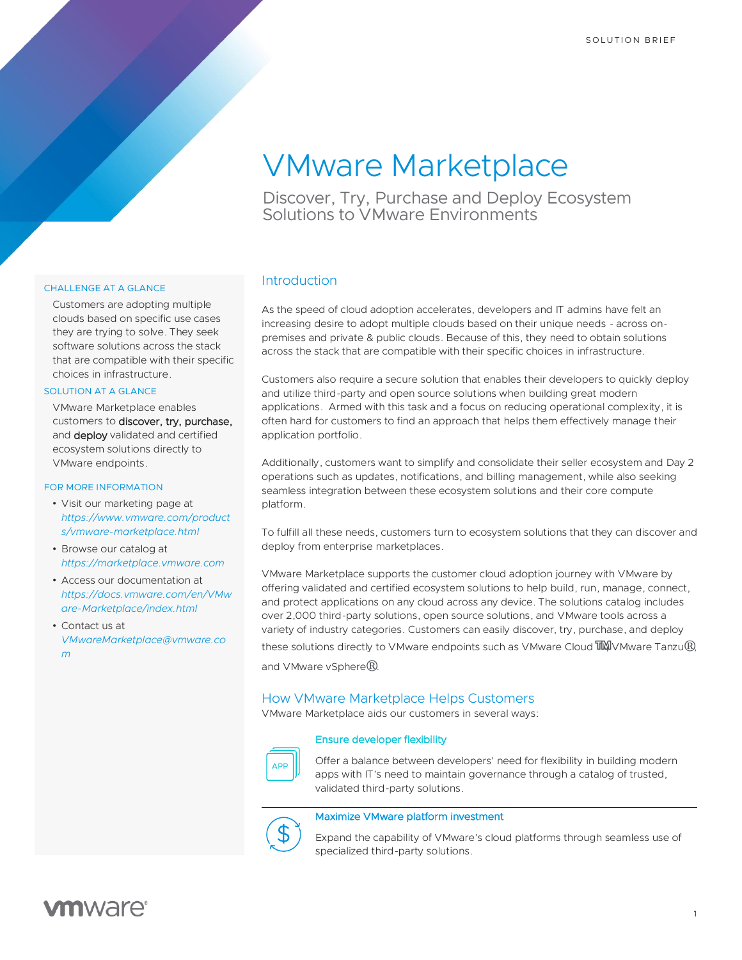# VMware Marketplace

Discover, Try, Purchase and Deploy Ecosystem Solutions to VMware Environments

# CHALLENGE AT A GLANCE

Customers are adopting multiple clouds based on specific use cases they are trying to solve. They seek software solutions across the stack that are compatible with their specific choices in infrastructure.

### SOLUTION AT A GLANCE

VMware Marketplace enables customers to discover, try, purchase, and deploy validated and certified ecosystem solutions directly to VMware endpoints.

# FOR MORE INFORMATION

- Visit our marketing page at *[https://www.vmware.com/product](https://www.vmware.com/products/vmware-marketplace.html) [s/vmware-marketplace.html](https://www.vmware.com/products/vmware-marketplace.html)*
- Browse our catalog at *[https://marketplace.vmware.com](https://marketplace.vmware.com/)*
- Access our documentation at *[https://docs.vmware.com/en/VMw](https://docs.vmware.com/en/VMware-Marketplace/index.html) [are-Marketplace/index.html](https://docs.vmware.com/en/VMware-Marketplace/index.html)*
- Contact us at *[VMwareMarketplace@vmware.co](mailto:VMwareMarketplace@vmware.com) [m](mailto:VMwareMarketplace@vmware.com)*

# **Introduction**

As the speed of cloud adoption accelerates, developers and IT admins have felt an increasing desire to adopt multiple clouds based on their unique needs - across onpremises and private & public clouds. Because of this, they need to obtain solutions across the stack that are compatible with their specific choices in infrastructure.

Customers also require a secure solution that enables their developers to quickly deploy and utilize third-party and open source solutions when building great modern applications. Armed with this task and a focus on reducing operational complexity, it is often hard for customers to find an approach that helps them effectively manage their application portfolio.

Additionally, customers want to simplify and consolidate their seller ecosystem and Day 2 operations such as updates, notifications, and billing management, while also seeking seamless integration between these ecosystem solutions and their core compute platform.

To fulfill all these needs, customers turn to ecosystem solutions that they can discover and deploy from enterprise marketplaces.

VMware Marketplace supports the customer cloud adoption journey with VMware by offering validated and certified ecosystem solutions to help build, run, manage, connect, and protect applications on any cloud across any device. The solutions catalog includes over 2,000 third-party solutions, open source solutions, and VMware tools across a variety of industry categories. Customers can easily discover, try, purchase, and deploy these solutions directly to VMware endpoints such as VMware Cloud ™VMware Tanzu<sup>®</sup>, and VMware vSphere<sup>®</sup>.

# How VMware Marketplace Helps Customers

VMware Marketplace aids our customers in several ways:

# Ensure developer flexibility



Offer a balance between developers' need for flexibility in building modern apps with IT's need to maintain governance through a catalog of trusted, validated third-party solutions.

# Maximize VMware platform investment



Expand the capability of VMware's cloud platforms through seamless use of specialized third-party solutions.

# **vm**ware<sup>®</sup>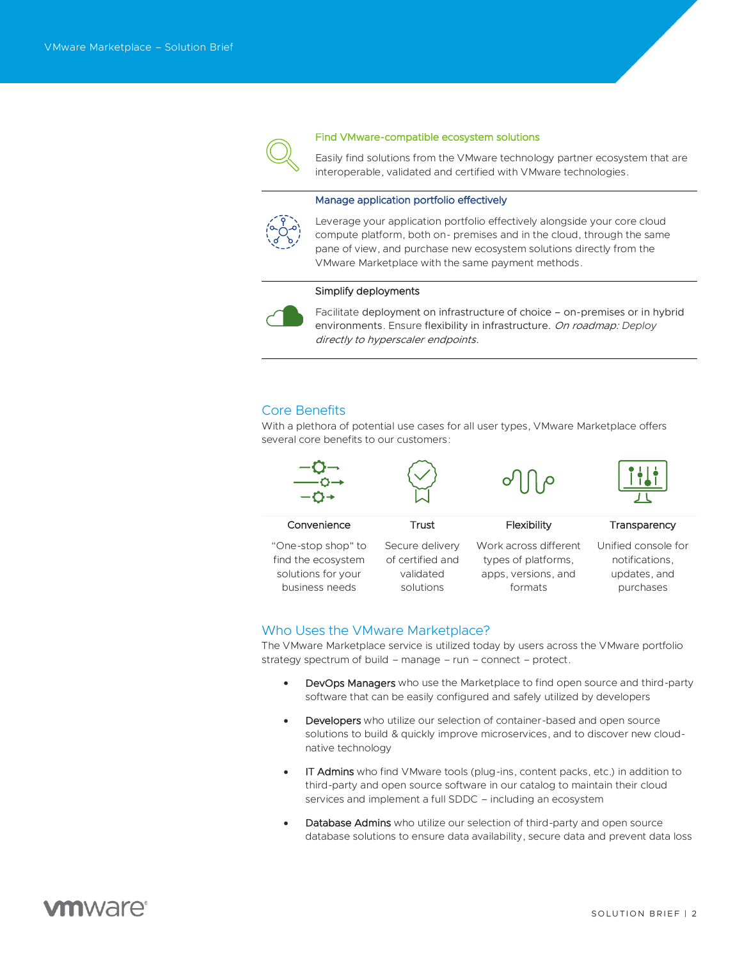

#### Find VMware-compatible ecosystem solutions

Easily find solutions from the VMware technology partner ecosystem that are interoperable, validated and certified with VMware technologies.

# Manage application portfolio effectively



Leverage your application portfolio effectively alongside your core cloud compute platform, both on- premises and in the cloud, through the same pane of view, and purchase new ecosystem solutions directly from the VMware Marketplace with the same payment methods.

#### Simplify deployments



Facilitate deployment on infrastructure of choice – on-premises or in hybrid environments. Ensure flexibility in infrastructure. On roadmap: *Deploy* directly to hyperscaler endpoints.

# Core Benefits

With a plethora of potential use cases for all user types, VMware Marketplace offers several core benefits to our customers:



# Who Uses the VMware Marketplace?

The VMware Marketplace service is utilized today by users across the VMware portfolio strategy spectrum of build – manage – run – connect – protect.

- DevOps Managers who use the Marketplace to find open source and third-party software that can be easily configured and safely utilized by developers
- **Developers** who utilize our selection of container-based and open source solutions to build & quickly improve microservices, and to discover new cloudnative technology
- IT Admins who find VMware tools (plug-ins, content packs, etc.) in addition to third-party and open source software in our catalog to maintain their cloud services and implement a full SDDC – including an ecosystem
- Database Admins who utilize our selection of third-party and open source database solutions to ensure data availability, secure data and prevent data loss

# **m**ware<sup>®</sup>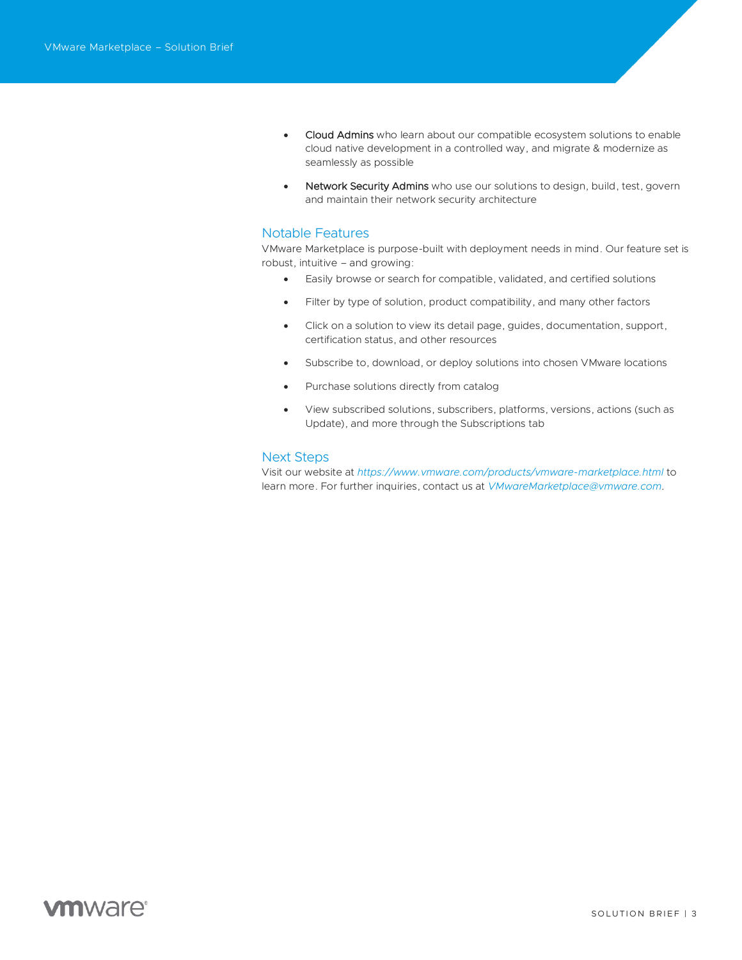- Cloud Admins who learn about our compatible ecosystem solutions to enable cloud native development in a controlled way, and migrate & modernize as seamlessly as possible
- Network Security Admins who use our solutions to design, build, test, govern and maintain their network security architecture

# Notable Features

VMware Marketplace is purpose-built with deployment needs in mind. Our feature set is robust, intuitive – and growing:

- Easily browse or search for compatible, validated, and certified solutions
- Filter by type of solution, product compatibility, and many other factors
- Click on a solution to view its detail page, guides, documentation, support, certification status, and other resources
- Subscribe to, download, or deploy solutions into chosen VMware locations
- Purchase solutions directly from catalog
- View subscribed solutions, subscribers, platforms, versions, actions (such as Update), and more through the Subscriptions tab

# Next Steps

Visit our website at *<https://www.vmware.com/products/vmware-marketplace.html>* to learn more. For further inquiries, contact us at *[VMwareMarketplace@vmware.com.](mailto:VMwareMarketplace@vmware.com)*

# **vm**ware<sup>®</sup>